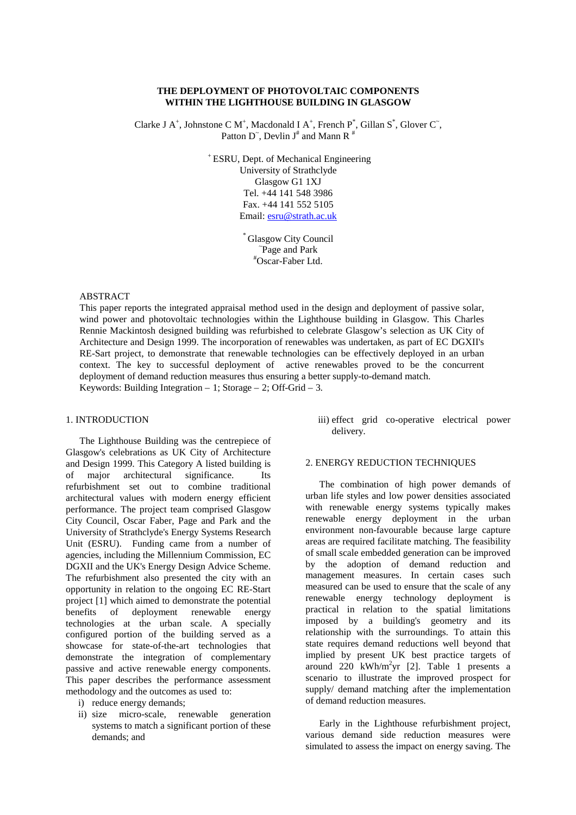# **THE DEPLOYMENT OF PHOTOVOLTAIC COMPONENTS WITHIN THE LIGHTHOUSE BUILDING IN GLASGOW**

Clarke J A<sup>+</sup>, Johnstone C M<sup>+</sup>, Macdonald I A<sup>+</sup>, French P<sup>\*</sup>, Gillan S<sup>\*</sup>, Glover C<sup> $\tilde{C}$ </sup>, Patton D ̃, Devlin  $J^{\#}$  and Mann R  $^{\#}$ 

> <sup>+</sup>ESRU, Dept. of Mechanical Engineering University of Strathclyde Glasgow G1 1XJ Tel. +44 141 548 3986 Fax. +44 141 552 5105 Email: esru@strath.ac.uk

> > **Glasgow City Council** ~ Page and Park #Oscar-Faber Ltd.

### ABSTRACT

This paper reports the integrated appraisal method used in the design and deployment of passive solar, wind power and photovoltaic technologies within the Lighthouse building in Glasgow. This Charles Rennie Mackintosh designed building was refurbished to celebrate Glasgow's selection as UK City of Architecture and Design 1999. The incorporation of renewables was undertaken, as part of EC DGXII's RE-Sart project, to demonstrate that renewable technologies can be effectively deployed in an urban context. The key to successful deployment of active renewables proved to be the concurrent deployment of demand reduction measures thus ensuring a better supply-to-demand match. Keywords: Building Integration – 1; Storage – 2; Off-Grid – 3.

### 1. INTRODUCTION

The Lighthouse Building was the centrepiece of Glasgow's celebrations as UK City of Architecture and Design 1999. This Category A listed building is of major architectural significance. Its refurbishment set out to combine traditional architectural values with modern energy efficient performance. The project team comprised Glasgow City Council, Oscar Faber, Page and Park and the University of Strathclyde's Energy Systems Research Unit (ESRU). Funding came from a number of agencies, including the Millennium Commission, EC DGXII and the UK's Energy Design Advice Scheme. The refurbishment also presented the city with an opportunity in relation to the ongoing EC RE-Start project [1] which aimed to demonstrate the potential benefits of deployment renewable energy technologies at the urban scale. A specially configured portion of the building served as a showcase for state-of-the-art technologies that demonstrate the integration of complementary passive and active renewable energy components. This paper describes the performance assessment methodology and the outcomes as used to:

- i) reduce energy demands;
- ii) size micro-scale, renewable generation systems to match a significant portion of these demands; and

iii) effect grid co-operative electrical power delivery.

### 2. ENERGY REDUCTION TECHNIQUES

The combination of high power demands of urban life styles and low power densities associated with renewable energy systems typically makes renewable energy deployment in the urban environment non-favourable because large capture areas are required facilitate matching. The feasibility of small scale embedded generation can be improved by the adoption of demand reduction and management measures. In certain cases such measured can be used to ensure that the scale of any renewable energy technology deployment is practical in relation to the spatial limitations imposed by a building's geometry and its relationship with the surroundings. To attain this state requires demand reductions well beyond that implied by present UK best practice targets of around  $220$  kWh/m<sup>2</sup>yr [2]. Table 1 presents a scenario to illustrate the improved prospect for supply/ demand matching after the implementation of demand reduction measures.

Early in the Lighthouse refurbishment project, various demand side reduction measures were simulated to assess the impact on energy saving. The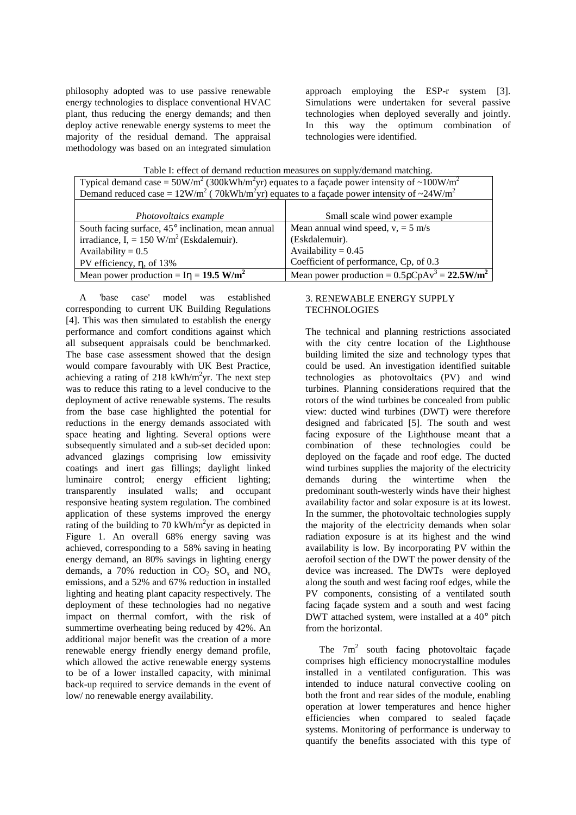philosophy adopted was to use passive renewable energy technologies to displace conventional HVAC plant, thus reducing the energy demands; and then deploy active renewable energy systems to meet the majority of the residual demand. The appraisal methodology was based on an integrated simulation

approach employing the ESP-r system [3]. Simulations were undertaken for several passive technologies when deployed severally and jointly. In this way the optimum combination of technologies were identified.

| Typical demand case = $50W/m^2$ (300kWh/m <sup>2</sup> yr) equates to a façade power intensity of ~100W/m <sup>2</sup> |                                                       |
|------------------------------------------------------------------------------------------------------------------------|-------------------------------------------------------|
| Demand reduced case = $12W/m^2$ (70kWh/m <sup>2</sup> yr) equates to a façade power intensity of ~24W/m <sup>2</sup>   |                                                       |
|                                                                                                                        |                                                       |
| Photovoltaics example                                                                                                  | Small scale wind power example                        |
| South facing surface, 45° inclination, mean annual                                                                     | Mean annual wind speed, $v = 5$ m/s                   |
| irradiance, I, = $150$ W/m <sup>2</sup> (Eskdalemuir).                                                                 | (Eskdalemuir).                                        |
| Availability = $0.5$                                                                                                   | Availability = $0.45$                                 |
| PV efficiency, $\eta$ , of 13%                                                                                         | Coefficient of performance, Cp, of 0.3                |
| Mean power production = $I\eta = 19.5$ W/m <sup>2</sup>                                                                | Mean power production = $0.5 \rho CpAv^3 = 22.5W/m^2$ |

Table I: effect of demand reduction measures on supply/demand matching.

A 'base case' model was established corresponding to current UK Building Regulations [4]. This was then simulated to establish the energy performance and comfort conditions against which all subsequent appraisals could be benchmarked. The base case assessment showed that the design would compare favourably with UK Best Practice, achieving a rating of 218 kWh/m<sup>2</sup>yr. The next step was to reduce this rating to a level conducive to the deployment of active renewable systems. The results from the base case highlighted the potential for reductions in the energy demands associated with space heating and lighting. Several options were subsequently simulated and a sub-set decided upon: advanced glazings comprising low emissivity coatings and inert gas fillings; daylight linked luminaire control; energy efficient lighting; transparently insulated walls; and occupant responsive heating system regulation. The combined application of these systems improved the energy rating of the building to 70 kWh/ $m^2$ yr as depicted in Figure 1. An overall 68% energy saving was achieved, corresponding to a 58% saving in heating energy demand, an 80% savings in lighting energy demands, a 70% reduction in  $CO_2$  SO<sub>x</sub> and NO<sub>x</sub> emissions, and a 52% and 67% reduction in installed lighting and heating plant capacity respectively. The deployment of these technologies had no negative impact on thermal comfort, with the risk of summertime overheating being reduced by 42%. An additional major benefit was the creation of a more renewable energy friendly energy demand profile, which allowed the active renewable energy systems to be of a lower installed capacity, with minimal back-up required to service demands in the event of low/ no renewable energy availability.

## 3. RENEWABLE ENERGY SUPPLY **TECHNOLOGIES**

The technical and planning restrictions associated with the city centre location of the Lighthouse building limited the size and technology types that could be used. An investigation identified suitable technologies as photovoltaics (PV) and wind turbines. Planning considerations required that the rotors of the wind turbines be concealed from public view: ducted wind turbines (DWT) were therefore designed and fabricated [5]. The south and west facing exposure of the Lighthouse meant that a combination of these technologies could be deployed on the façade and roof edge. The ducted wind turbines supplies the majority of the electricity demands during the wintertime when the predominant south-westerly winds have their highest availability factor and solar exposure is at its lowest. In the summer, the photovoltaic technologies supply the majority of the electricity demands when solar radiation exposure is at its highest and the wind availability is low. By incorporating PV within the aerofoil section of the DWT the power density of the device was increased. The DWTs were deployed along the south and west facing roof edges, while the PV components, consisting of a ventilated south facing façade system and a south and west facing DWT attached system, were installed at a 40° pitch from the horizontal.

The  $7m^2$  south facing photovoltaic façade comprises high efficiency monocrystalline modules installed in a ventilated configuration. This was intended to induce natural convective cooling on both the front and rear sides of the module, enabling operation at lower temperatures and hence higher efficiencies when compared to sealed façade systems. Monitoring of performance is underway to quantify the benefits associated with this type of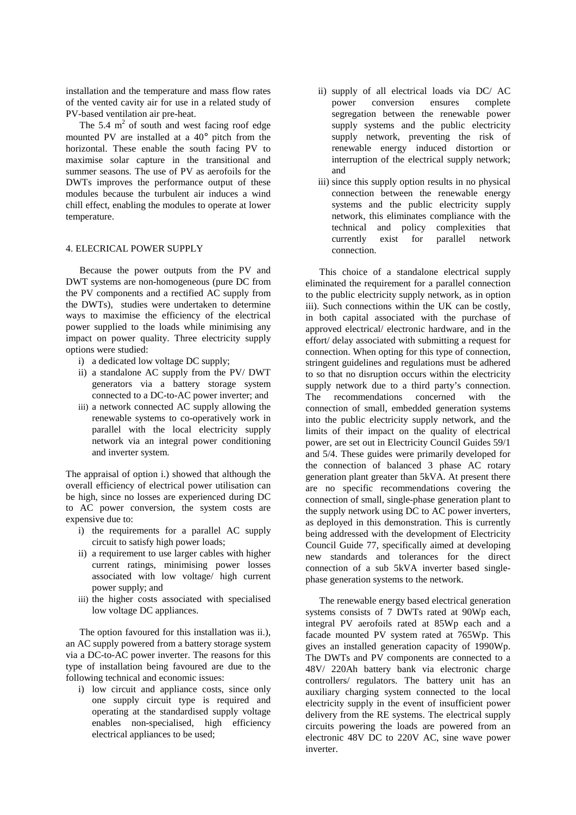installation and the temperature and mass flow rates of the vented cavity air for use in a related study of PV-based ventilation air pre-heat.

The 5.4  $m<sup>2</sup>$  of south and west facing roof edge mounted PV are installed at a 40° pitch from the horizontal. These enable the south facing PV to maximise solar capture in the transitional and summer seasons. The use of PV as aerofoils for the DWTs improves the performance output of these modules because the turbulent air induces a wind chill effect, enabling the modules to operate at lower temperature.

### 4. ELECRICAL POWER SUPPLY

Because the power outputs from the PV and DWT systems are non-homogeneous (pure DC from the PV components and a rectified AC supply from the DWTs), studies were undertaken to determine ways to maximise the efficiency of the electrical power supplied to the loads while minimising any impact on power quality. Three electricity supply options were studied:

- i) a dedicated low voltage DC supply;
- ii) a standalone AC supply from the PV/ DWT generators via a battery storage system connected to a DC-to-AC power inverter; and
- iii) a network connected AC supply allowing the renewable systems to co-operatively work in parallel with the local electricity supply network via an integral power conditioning and inverter system.

The appraisal of option i.) showed that although the overall efficiency of electrical power utilisation can be high, since no losses are experienced during DC to AC power conversion, the system costs are expensive due to:

- i) the requirements for a parallel AC supply circuit to satisfy high power loads;
- ii) a requirement to use larger cables with higher current ratings, minimising power losses associated with low voltage/ high current power supply; and
- iii) the higher costs associated with specialised low voltage DC appliances.

The option favoured for this installation was ii.), an AC supply powered from a battery storage system via a DC-to-AC power inverter. The reasons for this type of installation being favoured are due to the following technical and economic issues:

i) low circuit and appliance costs, since only one supply circuit type is required and operating at the standardised supply voltage enables non-specialised, high efficiency electrical appliances to be used;

- ii) supply of all electrical loads via DC/ AC power conversion ensures complete segregation between the renewable power supply systems and the public electricity supply network, preventing the risk of renewable energy induced distortion or interruption of the electrical supply network; and
- iii) since this supply option results in no physical connection between the renewable energy systems and the public electricity supply network, this eliminates compliance with the technical and policy complexities that currently exist for parallel network connection.

This choice of a standalone electrical supply eliminated the requirement for a parallel connection to the public electricity supply network, as in option iii). Such connections within the UK can be costly, in both capital associated with the purchase of approved electrical/ electronic hardware, and in the effort/ delay associated with submitting a request for connection. When opting for this type of connection, stringent guidelines and regulations must be adhered to so that no disruption occurs within the electricity supply network due to a third party's connection. The recommendations concerned with the connection of small, embedded generation systems into the public electricity supply network, and the limits of their impact on the quality of electrical power, are set out in Electricity Council Guides 59/1 and 5/4. These guides were primarily developed for the connection of balanced 3 phase AC rotary generation plant greater than 5kVA. At present there are no specific recommendations covering the connection of small, single-phase generation plant to the supply network using DC to AC power inverters, as deployed in this demonstration. This is currently being addressed with the development of Electricity Council Guide 77, specifically aimed at developing new standards and tolerances for the direct connection of a sub 5kVA inverter based singlephase generation systems to the network.

The renewable energy based electrical generation systems consists of 7 DWTs rated at 90Wp each, integral PV aerofoils rated at 85Wp each and a facade mounted PV system rated at 765Wp. This gives an installed generation capacity of 1990Wp. The DWTs and PV components are connected to a 48V/ 220Ah battery bank via electronic charge controllers/ regulators. The battery unit has an auxiliary charging system connected to the local electricity supply in the event of insufficient power delivery from the RE systems. The electrical supply circuits powering the loads are powered from an electronic 48V DC to 220V AC, sine wave power inverter.